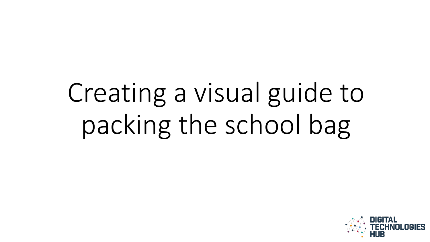# Creating a visual guide to packing the school bag

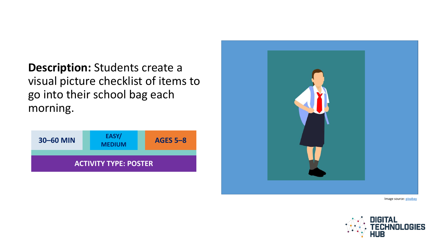**Description:** Students create a visual picture checklist of items to go into their school bag each morning.





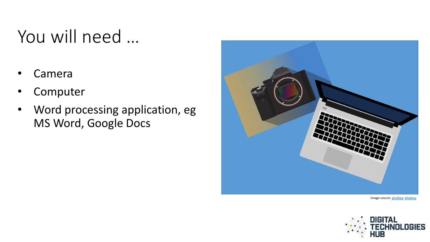### You will need …

- **Camera**
- **Computer**
- Word processing application, eg MS Word, Google Docs



Image source: [pixabay](https://pixabay.com/en/notebook-laptop-computer-871056/); [pixabay](https://pixabay.com/en/background-black-body-camera-3249063/)

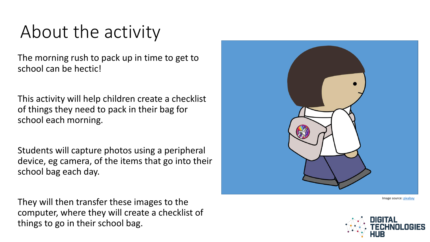#### About the activity

The morning rush to pack up in time to get to school can be hectic!

This activity will help children create a checklist of things they need to pack in their bag for school each morning.

Students will capture photos using a peripheral device, eg camera, of the items that go into their school bag each day.

They will then transfer these images to the computer, where they will create a checklist of things to go in their school bag.



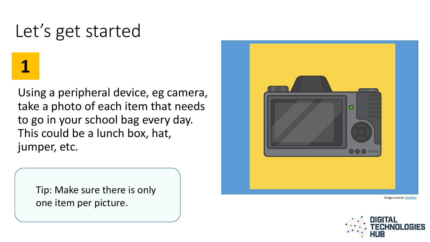#### Let's get started

**1**

Using a peripheral device, eg camera, take a photo of each item that needs to go in your school bag every day. This could be a lunch box, hat, jumper, etc.

Tip: Make sure there is only one item per picture.



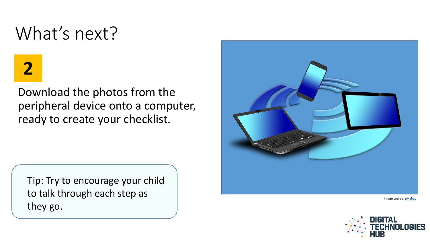#### What's next?

# **2**

Download the photos from the peripheral device onto a computer, ready to create your checklist.

Tip: Try to encourage your child to talk through each step as they go.



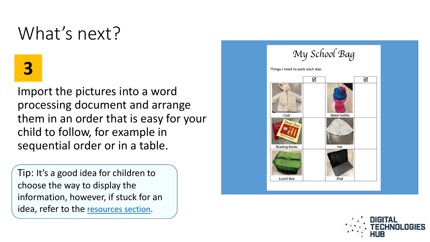#### What's next?

# **3**

Import the pictures into a word processing document and arrange them in an order that is easy for your child to follow, for example in sequential order or in a table.

Tip: It's a good idea for children to choose the way to display the information, however, if stuck for an idea, refer to the [resources section](#page-8-0).



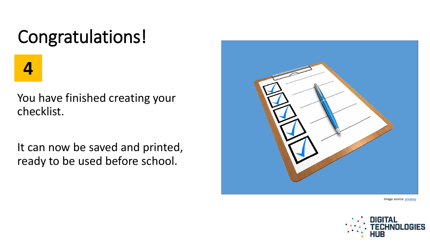## Congratulations!

**4**

You have finished creating your checklist.

It can now be saved and printed, ready to be used before school.



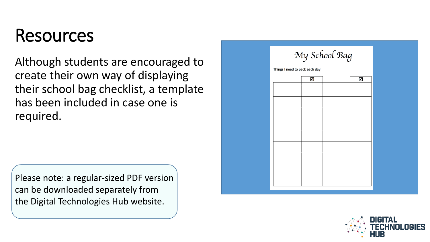#### Resources

Although students are encouraged to create their own way of displaying their school bag checklist, a template has been included in case one is required.

<span id="page-8-0"></span>Please note: a regular-sized PDF version can be downloaded separately from the Digital Technologies Hub website.